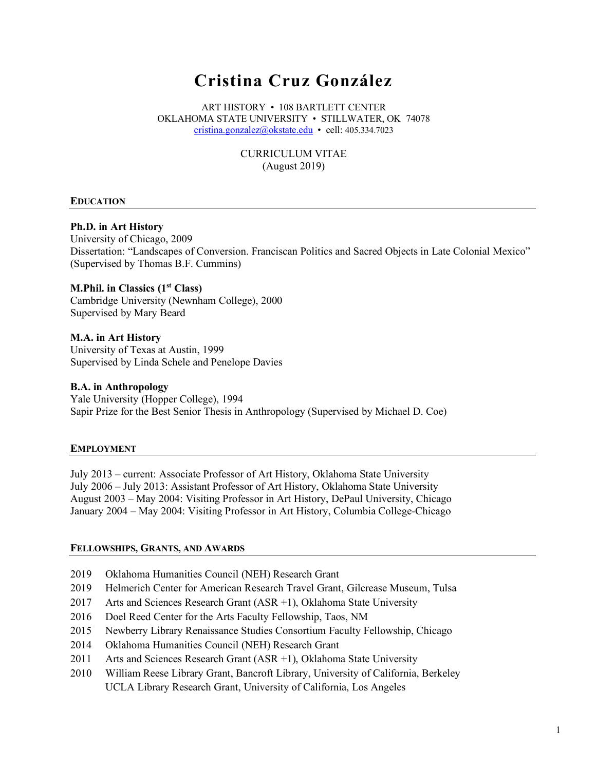# **Cristina Cruz González**

ART HISTORY • 108 BARTLETT CENTER OKLAHOMA STATE UNIVERSITY • STILLWATER, OK 74078 cristina.gonzalez@okstate.edu • cell: 405.334.7023

> CURRICULUM VITAE (August 2019)

## **EDUCATION**

#### **Ph.D. in Art History**

University of Chicago, 2009 Dissertation: "Landscapes of Conversion. Franciscan Politics and Sacred Objects in Late Colonial Mexico" (Supervised by Thomas B.F. Cummins)

## **M.Phil. in Classics (1<sup>st</sup> Class)**

Cambridge University (Newnham College), 2000 Supervised by Mary Beard

#### **M.A. in Art History** University of Texas at Austin, 1999 Supervised by Linda Schele and Penelope Davies

## **B.A. in Anthropology**

Yale University (Hopper College), 1994 Sapir Prize for the Best Senior Thesis in Anthropology (Supervised by Michael D. Coe)

#### **EMPLOYMENT**

July 2013 – current: Associate Professor of Art History, Oklahoma State University July 2006 – July 2013: Assistant Professor of Art History, Oklahoma State University August 2003 – May 2004: Visiting Professor in Art History, DePaul University, Chicago January 2004 – May 2004: Visiting Professor in Art History, Columbia College-Chicago

#### **FELLOWSHIPS, GRANTS, AND AWARDS**

- 2019 Oklahoma Humanities Council (NEH) Research Grant
- 2019 Helmerich Center for American Research Travel Grant, Gilcrease Museum, Tulsa
- 2017 Arts and Sciences Research Grant (ASR +1), Oklahoma State University
- 2016 Doel Reed Center for the Arts Faculty Fellowship, Taos, NM
- 2015 Newberry Library Renaissance Studies Consortium Faculty Fellowship, Chicago
- 2014 Oklahoma Humanities Council (NEH) Research Grant
- 2011 Arts and Sciences Research Grant (ASR +1), Oklahoma State University
- 2010 William Reese Library Grant, Bancroft Library, University of California, Berkeley UCLA Library Research Grant, University of California, Los Angeles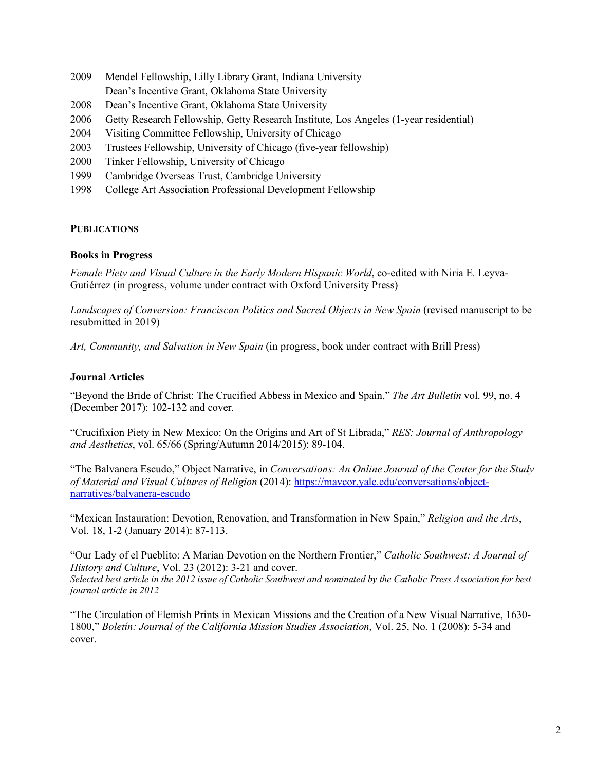- 2009 Mendel Fellowship, Lilly Library Grant, Indiana University
- Dean's Incentive Grant, Oklahoma State University
- 2008 Dean's Incentive Grant, Oklahoma State University
- 2006 Getty Research Fellowship, Getty Research Institute, Los Angeles (1-year residential)
- 2004 Visiting Committee Fellowship, University of Chicago
- 2003 Trustees Fellowship, University of Chicago (five-year fellowship)
- 2000 Tinker Fellowship, University of Chicago
- 1999 Cambridge Overseas Trust, Cambridge University
- 1998 College Art Association Professional Development Fellowship

## **PUBLICATIONS**

## **Books in Progress**

*Female Piety and Visual Culture in the Early Modern Hispanic World*, co-edited with Niria E. Leyva-Gutiérrez (in progress, volume under contract with Oxford University Press)

*Landscapes of Conversion: Franciscan Politics and Sacred Objects in New Spain* (revised manuscript to be resubmitted in 2019)

*Art, Community, and Salvation in New Spain* (in progress, book under contract with Brill Press)

# **Journal Articles**

"Beyond the Bride of Christ: The Crucified Abbess in Mexico and Spain," *The Art Bulletin* vol. 99, no. 4 (December 2017): 102-132 and cover.

"Crucifixion Piety in New Mexico: On the Origins and Art of St Librada," *RES: Journal of Anthropology and Aesthetics*, vol. 65/66 (Spring/Autumn 2014/2015): 89-104.

"The Balvanera Escudo," Object Narrative, in *Conversations: An Online Journal of the Center for the Study of Material and Visual Cultures of Religion* (2014): https://mavcor.yale.edu/conversations/objectnarratives/balvanera-escudo

"Mexican Instauration: Devotion, Renovation, and Transformation in New Spain," *Religion and the Arts*, Vol. 18, 1-2 (January 2014): 87-113.

"Our Lady of el Pueblito: A Marian Devotion on the Northern Frontier," *Catholic Southwest: A Journal of History and Culture*, Vol. 23 (2012): 3-21 and cover.

*Selected best article in the 2012 issue of Catholic Southwest and nominated by the Catholic Press Association for best journal article in 2012* 

"The Circulation of Flemish Prints in Mexican Missions and the Creation of a New Visual Narrative, 1630- 1800," *Boletín: Journal of the California Mission Studies Association*, Vol. 25, No. 1 (2008): 5-34 and cover.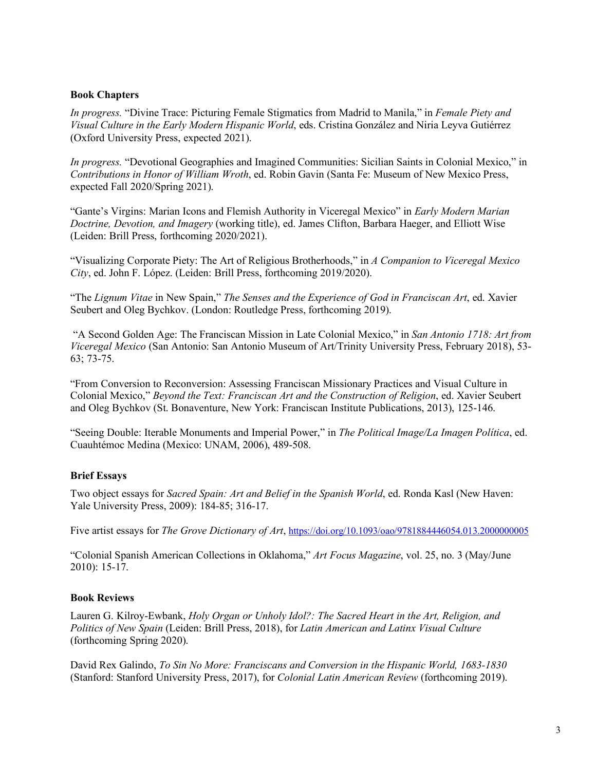## **Book Chapters**

*In progress.* "Divine Trace: Picturing Female Stigmatics from Madrid to Manila," in *Female Piety and Visual Culture in the Early Modern Hispanic World*, eds. Cristina González and Niria Leyva Gutiérrez (Oxford University Press, expected 2021).

*In progress.* "Devotional Geographies and Imagined Communities: Sicilian Saints in Colonial Mexico," in *Contributions in Honor of William Wroth*, ed. Robin Gavin (Santa Fe: Museum of New Mexico Press, expected Fall 2020/Spring 2021).

"Gante's Virgins: Marian Icons and Flemish Authority in Viceregal Mexico" in *Early Modern Marian Doctrine, Devotion, and Imagery* (working title), ed. James Clifton, Barbara Haeger, and Elliott Wise (Leiden: Brill Press, forthcoming 2020/2021).

"Visualizing Corporate Piety: The Art of Religious Brotherhoods," in *A Companion to Viceregal Mexico City*, ed. John F. López. (Leiden: Brill Press, forthcoming 2019/2020).

"The *Lignum Vitae* in New Spain," *The Senses and the Experience of God in Franciscan Art*, ed. Xavier Seubert and Oleg Bychkov. (London: Routledge Press, forthcoming 2019).

"A Second Golden Age: The Franciscan Mission in Late Colonial Mexico," in *San Antonio 1718: Art from Viceregal Mexico* (San Antonio: San Antonio Museum of Art/Trinity University Press, February 2018), 53- 63; 73-75.

"From Conversion to Reconversion: Assessing Franciscan Missionary Practices and Visual Culture in Colonial Mexico," *Beyond the Text: Franciscan Art and the Construction of Religion*, ed. Xavier Seubert and Oleg Bychkov (St. Bonaventure, New York: Franciscan Institute Publications, 2013), 125-146.

"Seeing Double: Iterable Monuments and Imperial Power," in *The Political Image/La Imagen Política*, ed. Cuauhtémoc Medina (Mexico: UNAM, 2006), 489-508.

## **Brief Essays**

Two object essays for *Sacred Spain: Art and Belief in the Spanish World*, ed. Ronda Kasl (New Haven: Yale University Press, 2009): 184-85; 316-17.

Five artist essays for *The Grove Dictionary of Art*, https://doi.org/10.1093/oao/9781884446054.013.2000000005

"Colonial Spanish American Collections in Oklahoma," *Art Focus Magazine*, vol. 25, no. 3 (May/June 2010): 15-17.

## **Book Reviews**

Lauren G. Kilroy-Ewbank, *Holy Organ or Unholy Idol?: The Sacred Heart in the Art, Religion, and Politics of New Spain* (Leiden: Brill Press, 2018), for *Latin American and Latinx Visual Culture* (forthcoming Spring 2020).

David Rex Galindo, *To Sin No More: Franciscans and Conversion in the Hispanic World, 1683-1830* (Stanford: Stanford University Press, 2017), for *Colonial Latin American Review* (forthcoming 2019).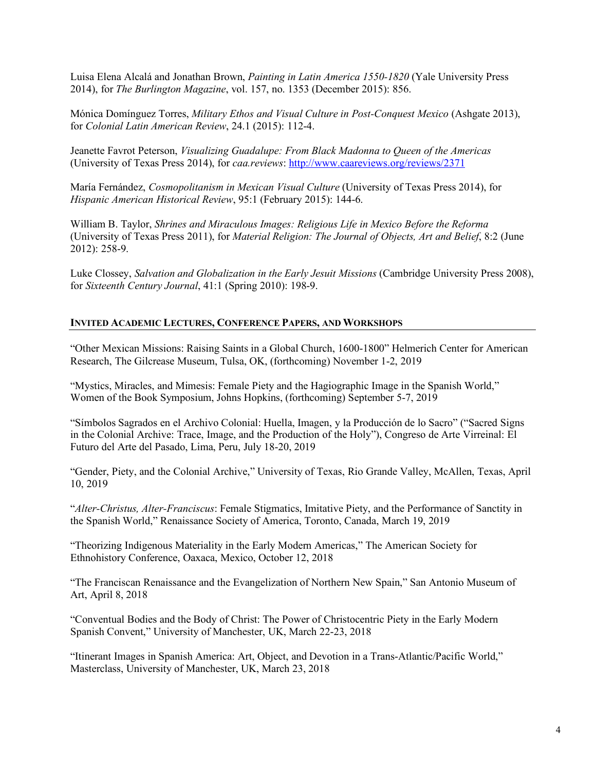Luisa Elena Alcalá and Jonathan Brown, *Painting in Latin America 1550-1820* (Yale University Press 2014), for *The Burlington Magazine*, vol. 157, no. 1353 (December 2015): 856.

Mónica Domínguez Torres, *Military Ethos and Visual Culture in Post-Conquest Mexico* (Ashgate 2013), for *Colonial Latin American Review*, 24.1 (2015): 112-4.

Jeanette Favrot Peterson, *Visualizing Guadalupe: From Black Madonna to Queen of the Americas* (University of Texas Press 2014), for *caa.reviews*: http://www.caareviews.org/reviews/2371

María Fernández, *Cosmopolitanism in Mexican Visual Culture* (University of Texas Press 2014), for *Hispanic American Historical Review*, 95:1 (February 2015): 144-6.

William B. Taylor, *Shrines and Miraculous Images: Religious Life in Mexico Before the Reforma* (University of Texas Press 2011), for *Material Religion: The Journal of Objects, Art and Belief*, 8:2 (June 2012): 258-9.

Luke Clossey, *Salvation and Globalization in the Early Jesuit Missions* (Cambridge University Press 2008), for *Sixteenth Century Journal*, 41:1 (Spring 2010): 198-9.

## **INVITED ACADEMIC LECTURES, CONFERENCE PAPERS, AND WORKSHOPS**

"Other Mexican Missions: Raising Saints in a Global Church, 1600-1800" Helmerich Center for American Research, The Gilcrease Museum, Tulsa, OK, (forthcoming) November 1-2, 2019

"Mystics, Miracles, and Mimesis: Female Piety and the Hagiographic Image in the Spanish World," Women of the Book Symposium, Johns Hopkins, (forthcoming) September 5-7, 2019

"Símbolos Sagrados en el Archivo Colonial: Huella, Imagen, y la Producción de lo Sacro" ("Sacred Signs in the Colonial Archive: Trace, Image, and the Production of the Holy"), Congreso de Arte Virreinal: El Futuro del Arte del Pasado, Lima, Peru, July 18-20, 2019

"Gender, Piety, and the Colonial Archive," University of Texas, Rio Grande Valley, McAllen, Texas, April 10, 2019

"*Alter-Christus, Alter-Franciscus*: Female Stigmatics, Imitative Piety, and the Performance of Sanctity in the Spanish World," Renaissance Society of America, Toronto, Canada, March 19, 2019

"Theorizing Indigenous Materiality in the Early Modern Americas," The American Society for Ethnohistory Conference, Oaxaca, Mexico, October 12, 2018

"The Franciscan Renaissance and the Evangelization of Northern New Spain," San Antonio Museum of Art, April 8, 2018

"Conventual Bodies and the Body of Christ: The Power of Christocentric Piety in the Early Modern Spanish Convent," University of Manchester, UK, March 22-23, 2018

"Itinerant Images in Spanish America: Art, Object, and Devotion in a Trans-Atlantic/Pacific World," Masterclass, University of Manchester, UK, March 23, 2018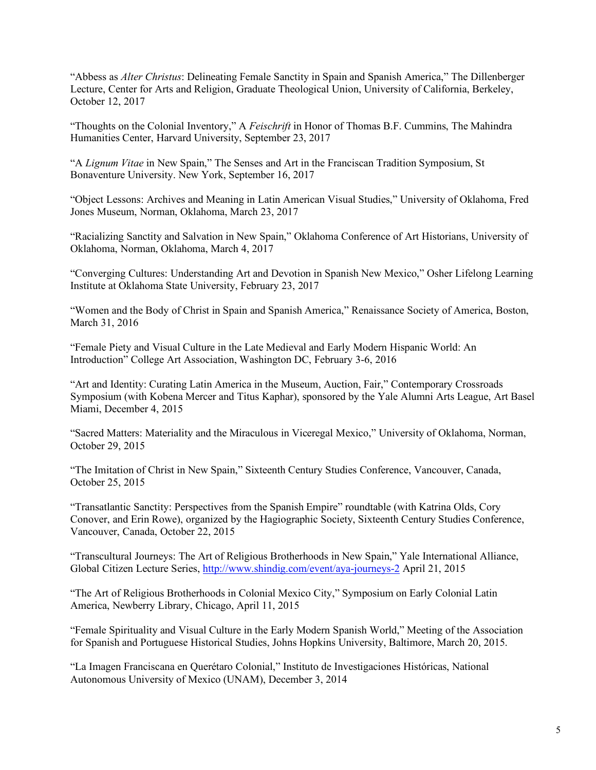"Abbess as *Alter Christus*: Delineating Female Sanctity in Spain and Spanish America," The Dillenberger Lecture, Center for Arts and Religion, Graduate Theological Union, University of California, Berkeley, October 12, 2017

"Thoughts on the Colonial Inventory," A *Feischrift* in Honor of Thomas B.F. Cummins, The Mahindra Humanities Center, Harvard University, September 23, 2017

"A *Lignum Vitae* in New Spain," The Senses and Art in the Franciscan Tradition Symposium, St Bonaventure University. New York, September 16, 2017

"Object Lessons: Archives and Meaning in Latin American Visual Studies," University of Oklahoma, Fred Jones Museum, Norman, Oklahoma, March 23, 2017

"Racializing Sanctity and Salvation in New Spain," Oklahoma Conference of Art Historians, University of Oklahoma, Norman, Oklahoma, March 4, 2017

"Converging Cultures: Understanding Art and Devotion in Spanish New Mexico," Osher Lifelong Learning Institute at Oklahoma State University, February 23, 2017

"Women and the Body of Christ in Spain and Spanish America," Renaissance Society of America, Boston, March 31, 2016

"Female Piety and Visual Culture in the Late Medieval and Early Modern Hispanic World: An Introduction" College Art Association, Washington DC, February 3-6, 2016

"Art and Identity: Curating Latin America in the Museum, Auction, Fair," Contemporary Crossroads Symposium (with Kobena Mercer and Titus Kaphar), sponsored by the Yale Alumni Arts League, Art Basel Miami, December 4, 2015

"Sacred Matters: Materiality and the Miraculous in Viceregal Mexico," University of Oklahoma, Norman, October 29, 2015

"The Imitation of Christ in New Spain," Sixteenth Century Studies Conference, Vancouver, Canada, October 25, 2015

"Transatlantic Sanctity: Perspectives from the Spanish Empire" roundtable (with Katrina Olds, Cory Conover, and Erin Rowe), organized by the Hagiographic Society, Sixteenth Century Studies Conference, Vancouver, Canada, October 22, 2015

"Transcultural Journeys: The Art of Religious Brotherhoods in New Spain," Yale International Alliance, Global Citizen Lecture Series, http://www.shindig.com/event/aya-journeys-2 April 21, 2015

"The Art of Religious Brotherhoods in Colonial Mexico City," Symposium on Early Colonial Latin America, Newberry Library, Chicago, April 11, 2015

"Female Spirituality and Visual Culture in the Early Modern Spanish World," Meeting of the Association for Spanish and Portuguese Historical Studies, Johns Hopkins University, Baltimore, March 20, 2015.

"La Imagen Franciscana en Querétaro Colonial," Instituto de Investigaciones Históricas, National Autonomous University of Mexico (UNAM), December 3, 2014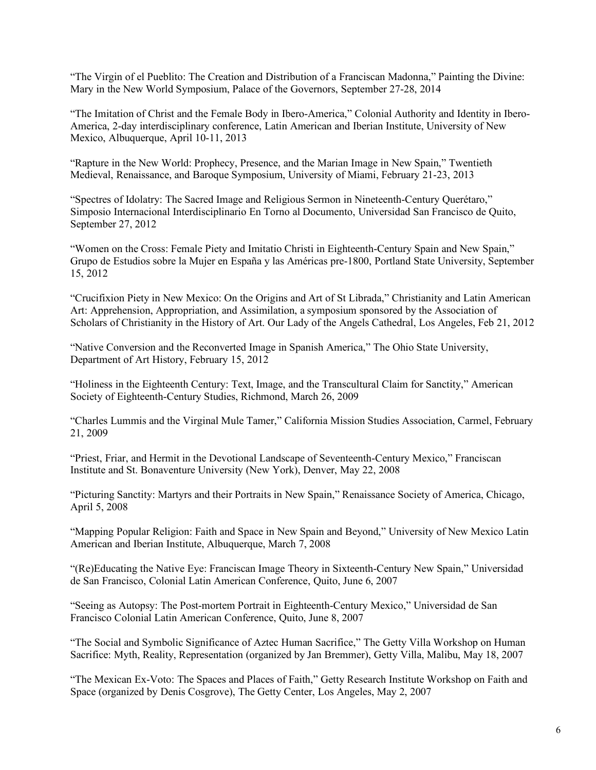"The Virgin of el Pueblito: The Creation and Distribution of a Franciscan Madonna," Painting the Divine: Mary in the New World Symposium, Palace of the Governors, September 27-28, 2014

"The Imitation of Christ and the Female Body in Ibero-America," Colonial Authority and Identity in Ibero-America, 2-day interdisciplinary conference, Latin American and Iberian Institute, University of New Mexico, Albuquerque, April 10-11, 2013

"Rapture in the New World: Prophecy, Presence, and the Marian Image in New Spain," Twentieth Medieval, Renaissance, and Baroque Symposium, University of Miami, February 21-23, 2013

"Spectres of Idolatry: The Sacred Image and Religious Sermon in Nineteenth-Century Querétaro," Simposio Internacional Interdisciplinario En Torno al Documento, Universidad San Francisco de Quito, September 27, 2012

"Women on the Cross: Female Piety and Imitatio Christi in Eighteenth-Century Spain and New Spain," Grupo de Estudios sobre la Mujer en España y las Américas pre-1800, Portland State University, September 15, 2012

"Crucifixion Piety in New Mexico: On the Origins and Art of St Librada," Christianity and Latin American Art: Apprehension, Appropriation, and Assimilation, a symposium sponsored by the Association of Scholars of Christianity in the History of Art. Our Lady of the Angels Cathedral, Los Angeles, Feb 21, 2012

"Native Conversion and the Reconverted Image in Spanish America," The Ohio State University, Department of Art History, February 15, 2012

"Holiness in the Eighteenth Century: Text, Image, and the Transcultural Claim for Sanctity," American Society of Eighteenth-Century Studies, Richmond, March 26, 2009

"Charles Lummis and the Virginal Mule Tamer," California Mission Studies Association, Carmel, February 21, 2009

"Priest, Friar, and Hermit in the Devotional Landscape of Seventeenth-Century Mexico," Franciscan Institute and St. Bonaventure University (New York), Denver, May 22, 2008

"Picturing Sanctity: Martyrs and their Portraits in New Spain," Renaissance Society of America, Chicago, April 5, 2008

"Mapping Popular Religion: Faith and Space in New Spain and Beyond," University of New Mexico Latin American and Iberian Institute, Albuquerque, March 7, 2008

"(Re)Educating the Native Eye: Franciscan Image Theory in Sixteenth-Century New Spain," Universidad de San Francisco, Colonial Latin American Conference, Quito, June 6, 2007

"Seeing as Autopsy: The Post-mortem Portrait in Eighteenth-Century Mexico," Universidad de San Francisco Colonial Latin American Conference, Quito, June 8, 2007

"The Social and Symbolic Significance of Aztec Human Sacrifice," The Getty Villa Workshop on Human Sacrifice: Myth, Reality, Representation (organized by Jan Bremmer), Getty Villa, Malibu, May 18, 2007

"The Mexican Ex-Voto: The Spaces and Places of Faith," Getty Research Institute Workshop on Faith and Space (organized by Denis Cosgrove), The Getty Center, Los Angeles, May 2, 2007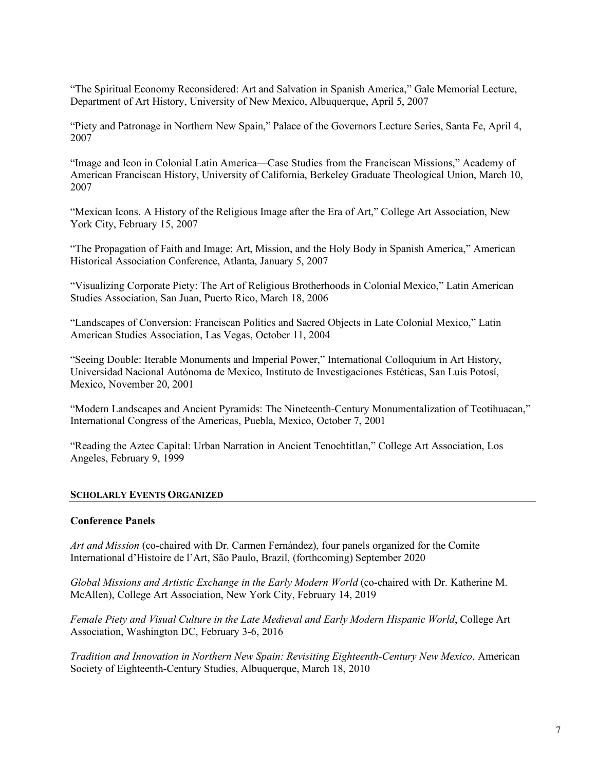"The Spiritual Economy Reconsidered: Art and Salvation in Spanish America," Gale Memorial Lecture, Department of Art History, University of New Mexico, Albuquerque, April 5, 2007

"Piety and Patronage in Northern New Spain," Palace of the Governors Lecture Series, Santa Fe, April 4, 2007

"Image and Icon in Colonial Latin America—Case Studies from the Franciscan Missions," Academy of American Franciscan History, University of California, Berkeley Graduate Theological Union, March 10, 2007

"Mexican Icons. A History of the Religious Image after the Era of Art," College Art Association, New York City, February 15, 2007

"The Propagation of Faith and Image: Art, Mission, and the Holy Body in Spanish America," American Historical Association Conference, Atlanta, January 5, 2007

"Visualizing Corporate Piety: The Art of Religious Brotherhoods in Colonial Mexico," Latin American Studies Association, San Juan, Puerto Rico, March 18, 2006

"Landscapes of Conversion: Franciscan Politics and Sacred Objects in Late Colonial Mexico," Latin American Studies Association, Las Vegas, October 11, 2004

"Seeing Double: Iterable Monuments and Imperial Power," International Colloquium in Art History, Universidad Nacional Autónoma de Mexico, Instituto de Investigaciones Estéticas, San Luis Potosí, Mexico, November 20, 2001

"Modern Landscapes and Ancient Pyramids: The Nineteenth-Century Monumentalization of Teotihuacan," International Congress of the Americas, Puebla, Mexico, October 7, 2001

"Reading the Aztec Capital: Urban Narration in Ancient Tenochtitlan," College Art Association, Los Angeles, February 9, 1999

#### **SCHOLARLY EVENTS ORGANIZED**

#### **Conference Panels**

*Art and Mission* (co-chaired with Dr. Carmen Fernández), four panels organized for the Comite International d'Histoire de l'Art, São Paulo, Brazil, (forthcoming) September 2020

*Global Missions and Artistic Exchange in the Early Modern World* (co-chaired with Dr. Katherine M. McAllen), College Art Association, New York City, February 14, 2019

*Female Piety and Visual Culture in the Late Medieval and Early Modern Hispanic World*, College Art Association, Washington DC, February 3-6, 2016

*Tradition and Innovation in Northern New Spain: Revisiting Eighteenth-Century New Mexico*, American Society of Eighteenth-Century Studies, Albuquerque, March 18, 2010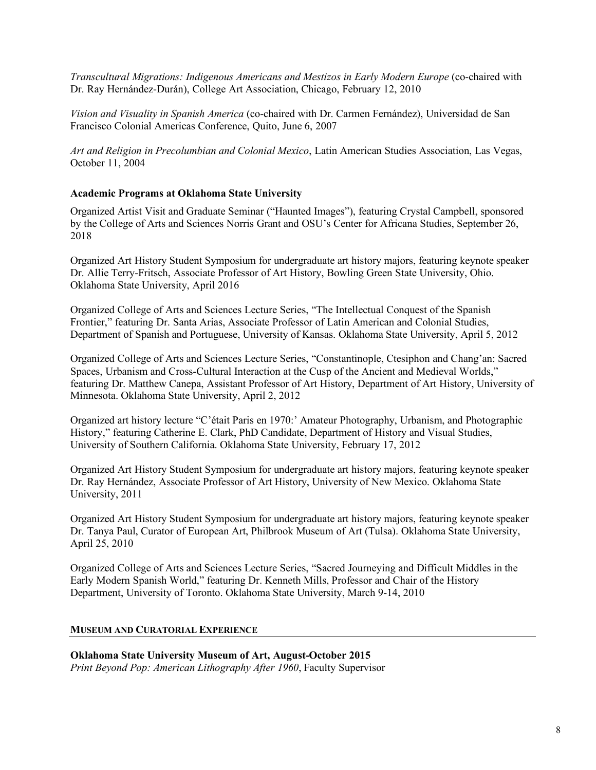*Transcultural Migrations: Indigenous Americans and Mestizos in Early Modern Europe* (co-chaired with Dr. Ray Hernández-Durán), College Art Association, Chicago, February 12, 2010

*Vision and Visuality in Spanish America* (co-chaired with Dr. Carmen Fernández), Universidad de San Francisco Colonial Americas Conference, Quito, June 6, 2007

*Art and Religion in Precolumbian and Colonial Mexico*, Latin American Studies Association, Las Vegas, October 11, 2004

## **Academic Programs at Oklahoma State University**

Organized Artist Visit and Graduate Seminar ("Haunted Images"), featuring Crystal Campbell, sponsored by the College of Arts and Sciences Norris Grant and OSU's Center for Africana Studies, September 26, 2018

Organized Art History Student Symposium for undergraduate art history majors, featuring keynote speaker Dr. Allie Terry-Fritsch, Associate Professor of Art History, Bowling Green State University, Ohio. Oklahoma State University, April 2016

Organized College of Arts and Sciences Lecture Series, "The Intellectual Conquest of the Spanish Frontier," featuring Dr. Santa Arias, Associate Professor of Latin American and Colonial Studies, Department of Spanish and Portuguese, University of Kansas. Oklahoma State University, April 5, 2012

Organized College of Arts and Sciences Lecture Series, "Constantinople, Ctesiphon and Chang'an: Sacred Spaces, Urbanism and Cross-Cultural Interaction at the Cusp of the Ancient and Medieval Worlds," featuring Dr. Matthew Canepa, Assistant Professor of Art History, Department of Art History, University of Minnesota. Oklahoma State University, April 2, 2012

Organized art history lecture "C'était Paris en 1970:' Amateur Photography, Urbanism, and Photographic History," featuring Catherine E. Clark, PhD Candidate, Department of History and Visual Studies, University of Southern California. Oklahoma State University, February 17, 2012

Organized Art History Student Symposium for undergraduate art history majors, featuring keynote speaker Dr. Ray Hernández, Associate Professor of Art History, University of New Mexico. Oklahoma State University, 2011

Organized Art History Student Symposium for undergraduate art history majors, featuring keynote speaker Dr. Tanya Paul, Curator of European Art, Philbrook Museum of Art (Tulsa). Oklahoma State University, April 25, 2010

Organized College of Arts and Sciences Lecture Series, "Sacred Journeying and Difficult Middles in the Early Modern Spanish World," featuring Dr. Kenneth Mills, Professor and Chair of the History Department, University of Toronto. Oklahoma State University, March 9-14, 2010

## **MUSEUM AND CURATORIAL EXPERIENCE**

**Oklahoma State University Museum of Art, August-October 2015** *Print Beyond Pop: American Lithography After 1960*, Faculty Supervisor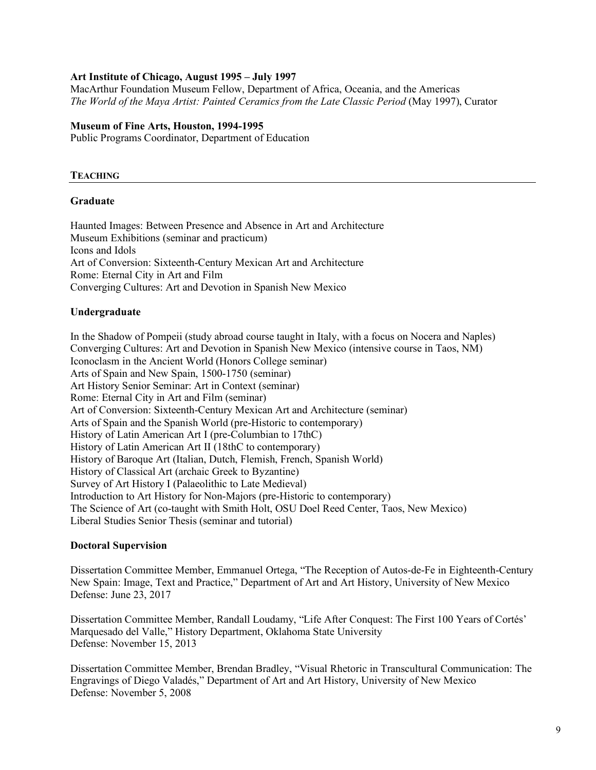## **Art Institute of Chicago, August 1995 – July 1997**

MacArthur Foundation Museum Fellow, Department of Africa, Oceania, and the Americas *The World of the Maya Artist: Painted Ceramics from the Late Classic Period* (May 1997), Curator

## **Museum of Fine Arts, Houston, 1994-1995**

Public Programs Coordinator, Department of Education

## **TEACHING**

## **Graduate**

Haunted Images: Between Presence and Absence in Art and Architecture Museum Exhibitions (seminar and practicum) Icons and Idols Art of Conversion: Sixteenth-Century Mexican Art and Architecture Rome: Eternal City in Art and Film Converging Cultures: Art and Devotion in Spanish New Mexico

## **Undergraduate**

In the Shadow of Pompeii (study abroad course taught in Italy, with a focus on Nocera and Naples) Converging Cultures: Art and Devotion in Spanish New Mexico (intensive course in Taos, NM) Iconoclasm in the Ancient World (Honors College seminar) Arts of Spain and New Spain, 1500-1750 (seminar) Art History Senior Seminar: Art in Context (seminar) Rome: Eternal City in Art and Film (seminar) Art of Conversion: Sixteenth-Century Mexican Art and Architecture (seminar) Arts of Spain and the Spanish World (pre-Historic to contemporary) History of Latin American Art I (pre-Columbian to 17thC) History of Latin American Art II (18thC to contemporary) History of Baroque Art (Italian, Dutch, Flemish, French, Spanish World) History of Classical Art (archaic Greek to Byzantine) Survey of Art History I (Palaeolithic to Late Medieval) Introduction to Art History for Non-Majors (pre-Historic to contemporary) The Science of Art (co-taught with Smith Holt, OSU Doel Reed Center, Taos, New Mexico) Liberal Studies Senior Thesis (seminar and tutorial)

## **Doctoral Supervision**

Dissertation Committee Member, Emmanuel Ortega, "The Reception of Autos-de-Fe in Eighteenth-Century New Spain: Image, Text and Practice," Department of Art and Art History, University of New Mexico Defense: June 23, 2017

Dissertation Committee Member, Randall Loudamy, "Life After Conquest: The First 100 Years of Cortés' Marquesado del Valle," History Department, Oklahoma State University Defense: November 15, 2013

Dissertation Committee Member, Brendan Bradley, "Visual Rhetoric in Transcultural Communication: The Engravings of Diego Valadés," Department of Art and Art History, University of New Mexico Defense: November 5, 2008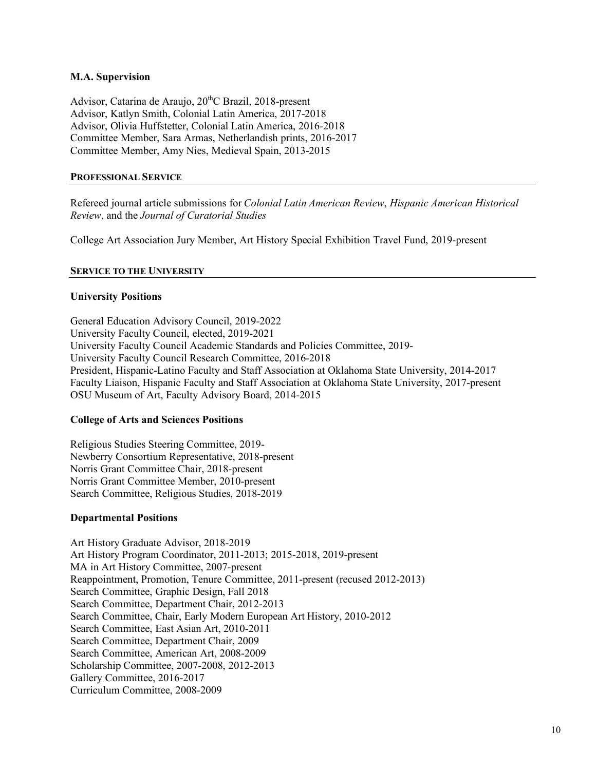## **M.A. Supervision**

Advisor, Catarina de Araujo, 20<sup>th</sup>C Brazil, 2018-present Advisor, Katlyn Smith, Colonial Latin America, 2017-2018 Advisor, Olivia Huffstetter, Colonial Latin America, 2016-2018 Committee Member, Sara Armas, Netherlandish prints, 2016-2017 Committee Member, Amy Nies, Medieval Spain, 2013-2015

#### **PROFESSIONAL SERVICE**

Refereed journal article submissions for *Colonial Latin American Review*, *Hispanic American Historical Review*, and the *Journal of Curatorial Studies*

College Art Association Jury Member, Art History Special Exhibition Travel Fund, 2019-present

## **SERVICE TO THE UNIVERSITY**

## **University Positions**

General Education Advisory Council, 2019-2022 University Faculty Council, elected, 2019-2021 University Faculty Council Academic Standards and Policies Committee, 2019- University Faculty Council Research Committee, 2016-2018 President, Hispanic-Latino Faculty and Staff Association at Oklahoma State University, 2014-2017 Faculty Liaison, Hispanic Faculty and Staff Association at Oklahoma State University, 2017-present OSU Museum of Art, Faculty Advisory Board, 2014-2015

#### **College of Arts and Sciences Positions**

Religious Studies Steering Committee, 2019- Newberry Consortium Representative, 2018-present Norris Grant Committee Chair, 2018-present Norris Grant Committee Member, 2010-present Search Committee, Religious Studies, 2018-2019

## **Departmental Positions**

Art History Graduate Advisor, 2018-2019 Art History Program Coordinator, 2011-2013; 2015-2018, 2019-present MA in Art History Committee, 2007-present Reappointment, Promotion, Tenure Committee, 2011-present (recused 2012-2013) Search Committee, Graphic Design, Fall 2018 Search Committee, Department Chair, 2012-2013 Search Committee, Chair, Early Modern European Art History, 2010-2012 Search Committee, East Asian Art, 2010-2011 Search Committee, Department Chair, 2009 Search Committee, American Art, 2008-2009 Scholarship Committee, 2007-2008, 2012-2013 Gallery Committee, 2016-2017 Curriculum Committee, 2008-2009